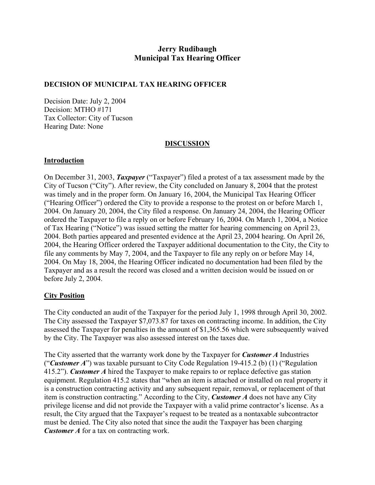# **Jerry Rudibaugh Municipal Tax Hearing Officer**

# **DECISION OF MUNICIPAL TAX HEARING OFFICER**

Decision Date: July 2, 2004 Decision: MTHO #171 Tax Collector: City of Tucson Hearing Date: None

# **DISCUSSION**

## **Introduction**

On December 31, 2003, *Taxpayer* ("Taxpayer") filed a protest of a tax assessment made by the City of Tucson ("City"). After review, the City concluded on January 8, 2004 that the protest was timely and in the proper form. On January 16, 2004, the Municipal Tax Hearing Officer ("Hearing Officer") ordered the City to provide a response to the protest on or before March 1, 2004. On January 20, 2004, the City filed a response. On January 24, 2004, the Hearing Officer ordered the Taxpayer to file a reply on or before February 16, 2004. On March 1, 2004, a Notice of Tax Hearing ("Notice") was issued setting the matter for hearing commencing on April 23, 2004. Both parties appeared and presented evidence at the April 23, 2004 hearing. On April 26, 2004, the Hearing Officer ordered the Taxpayer additional documentation to the City, the City to file any comments by May 7, 2004, and the Taxpayer to file any reply on or before May 14, 2004. On May 18, 2004, the Hearing Officer indicated no documentation had been filed by the Taxpayer and as a result the record was closed and a written decision would be issued on or before July 2, 2004.

# **City Position**

The City conducted an audit of the Taxpayer for the period July 1, 1998 through April 30, 2002. The City assessed the Taxpayer \$7,073.87 for taxes on contracting income. In addition, the City assessed the Taxpayer for penalties in the amount of \$1,365.56 which were subsequently waived by the City. The Taxpayer was also assessed interest on the taxes due.

The City asserted that the warranty work done by the Taxpayer for *Customer A* Industries ("*Customer A*") was taxable pursuant to City Code Regulation 19-415.2 (b) (1) ("Regulation 415.2"). *Customer A* hired the Taxpayer to make repairs to or replace defective gas station equipment. Regulation 415.2 states that "when an item is attached or installed on real property it is a construction contracting activity and any subsequent repair, removal, or replacement of that item is construction contracting." According to the City, *Customer A* does not have any City privilege license and did not provide the Taxpayer with a valid prime contractor's license. As a result, the City argued that the Taxpayer's request to be treated as a nontaxable subcontractor must be denied. The City also noted that since the audit the Taxpayer has been charging *Customer A* for a tax on contracting work.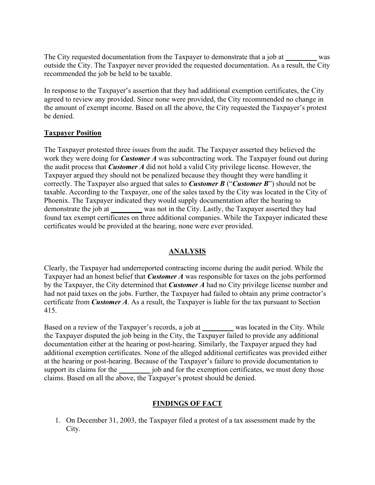The City requested documentation from the Taxpayer to demonstrate that a job at was outside the City. The Taxpayer never provided the requested documentation. As a result, the City recommended the job be held to be taxable.

In response to the Taxpayer's assertion that they had additional exemption certificates, the City agreed to review any provided. Since none were provided, the City recommended no change in the amount of exempt income. Based on all the above, the City requested the Taxpayer's protest be denied.

## **Taxpayer Position**

The Taxpayer protested three issues from the audit. The Taxpayer asserted they believed the work they were doing for *Customer A* was subcontracting work. The Taxpayer found out during the audit process that *Customer A* did not hold a valid City privilege license. However, the Taxpayer argued they should not be penalized because they thought they were handling it correctly. The Taxpayer also argued that sales to *Customer B* ("*Customer B*") should not be taxable. According to the Taxpayer, one of the sales taxed by the City was located in the City of Phoenix. The Taxpayer indicated they would supply documentation after the hearing to demonstrate the job at was not in the City. Lastly, the Taxpayer asserted they had found tax exempt certificates on three additional companies. While the Taxpayer indicated these certificates would be provided at the hearing, none were ever provided.

#### **ANALYSIS**

Clearly, the Taxpayer had underreported contracting income during the audit period. While the Taxpayer had an honest belief that *Customer A* was responsible for taxes on the jobs performed by the Taxpayer, the City determined that *Customer A* had no City privilege license number and had not paid taxes on the jobs. Further, the Taxpayer had failed to obtain any prime contractor's certificate from *Customer A*. As a result, the Taxpayer is liable for the tax pursuant to Section 415.

Based on a review of the Taxpayer's records, a job at was located in the City. While the Taxpayer disputed the job being in the City, the Taxpayer failed to provide any additional documentation either at the hearing or post-hearing. Similarly, the Taxpayer argued they had additional exemption certificates. None of the alleged additional certificates was provided either at the hearing or post-hearing. Because of the Taxpayer's failure to provide documentation to support its claims for the job and for the exemption certificates, we must deny those claims. Based on all the above, the Taxpayer's protest should be denied.

# **FINDINGS OF FACT**

1. On December 31, 2003, the Taxpayer filed a protest of a tax assessment made by the City.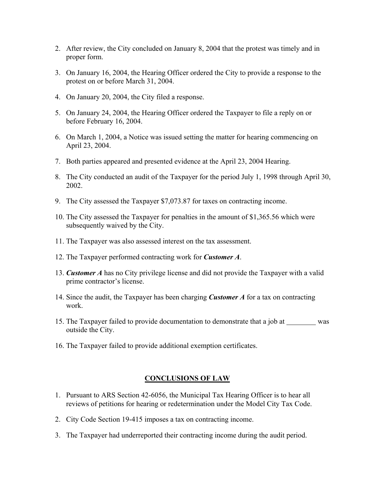- 2. After review, the City concluded on January 8, 2004 that the protest was timely and in proper form.
- 3. On January 16, 2004, the Hearing Officer ordered the City to provide a response to the protest on or before March 31, 2004.
- 4. On January 20, 2004, the City filed a response.
- 5. On January 24, 2004, the Hearing Officer ordered the Taxpayer to file a reply on or before February 16, 2004.
- 6. On March 1, 2004, a Notice was issued setting the matter for hearing commencing on April 23, 2004.
- 7. Both parties appeared and presented evidence at the April 23, 2004 Hearing.
- 8. The City conducted an audit of the Taxpayer for the period July 1, 1998 through April 30, 2002.
- 9. The City assessed the Taxpayer \$7,073.87 for taxes on contracting income.
- 10. The City assessed the Taxpayer for penalties in the amount of \$1,365.56 which were subsequently waived by the City.
- 11. The Taxpayer was also assessed interest on the tax assessment.
- 12. The Taxpayer performed contracting work for *Customer A*.
- 13. *Customer A* has no City privilege license and did not provide the Taxpayer with a valid prime contractor's license.
- 14. Since the audit, the Taxpayer has been charging *Customer A* for a tax on contracting work.
- 15. The Taxpayer failed to provide documentation to demonstrate that a job at was outside the City.
- 16. The Taxpayer failed to provide additional exemption certificates.

#### **CONCLUSIONS OF LAW**

- 1. Pursuant to ARS Section 42-6056, the Municipal Tax Hearing Officer is to hear all reviews of petitions for hearing or redetermination under the Model City Tax Code.
- 2. City Code Section 19-415 imposes a tax on contracting income.
- 3. The Taxpayer had underreported their contracting income during the audit period.